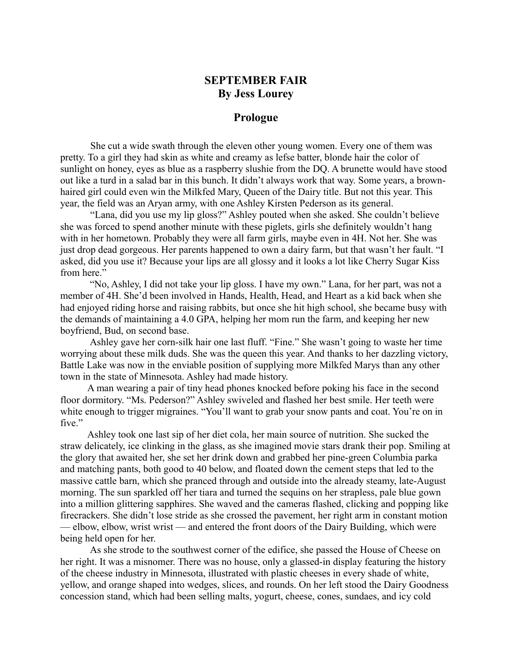## **SEPTEMBER FAIR By Jess Lourey**

## **Prologue**

She cut a wide swath through the eleven other young women. Every one of them was pretty. To a girl they had skin as white and creamy as lefse batter, blonde hair the color of sunlight on honey, eyes as blue as a raspberry slushie from the DQ. A brunette would have stood out like a turd in a salad bar in this bunch. It didn't always work that way. Some years, a brownhaired girl could even win the Milkfed Mary, Queen of the Dairy title. But not this year. This year, the field was an Aryan army, with one Ashley Kirsten Pederson as its general.

 "Lana, did you use my lip gloss?" Ashley pouted when she asked. She couldn't believe she was forced to spend another minute with these piglets, girls she definitely wouldn't hang with in her hometown. Probably they were all farm girls, maybe even in 4H. Not her. She was just drop dead gorgeous. Her parents happened to own a dairy farm, but that wasn't her fault. "I asked, did you use it? Because your lips are all glossy and it looks a lot like Cherry Sugar Kiss from here."

"No, Ashley, I did not take your lip gloss. I have my own." Lana, for her part, was not a member of 4H. She'd been involved in Hands, Health, Head, and Heart as a kid back when she had enjoyed riding horse and raising rabbits, but once she hit high school, she became busy with the demands of maintaining a 4.0 GPA, helping her mom run the farm, and keeping her new boyfriend, Bud, on second base.

 Ashley gave her corn-silk hair one last fluff. "Fine." She wasn't going to waste her time worrying about these milk duds. She was the queen this year. And thanks to her dazzling victory, Battle Lake was now in the enviable position of supplying more Milkfed Marys than any other town in the state of Minnesota. Ashley had made history.

 A man wearing a pair of tiny head phones knocked before poking his face in the second floor dormitory. "Ms. Pederson?" Ashley swiveled and flashed her best smile. Her teeth were white enough to trigger migraines. "You'll want to grab your snow pants and coat. You're on in five."

 Ashley took one last sip of her diet cola, her main source of nutrition. She sucked the straw delicately, ice clinking in the glass, as she imagined movie stars drank their pop. Smiling at the glory that awaited her, she set her drink down and grabbed her pine-green Columbia parka and matching pants, both good to 40 below, and floated down the cement steps that led to the massive cattle barn, which she pranced through and outside into the already steamy, late-August morning. The sun sparkled off her tiara and turned the sequins on her strapless, pale blue gown into a million glittering sapphires. She waved and the cameras flashed, clicking and popping like firecrackers. She didn't lose stride as she crossed the pavement, her right arm in constant motion — elbow, elbow, wrist wrist — and entered the front doors of the Dairy Building, which were being held open for her.

As she strode to the southwest corner of the edifice, she passed the House of Cheese on her right. It was a misnomer. There was no house, only a glassed-in display featuring the history of the cheese industry in Minnesota, illustrated with plastic cheeses in every shade of white, yellow, and orange shaped into wedges, slices, and rounds. On her left stood the Dairy Goodness concession stand, which had been selling malts, yogurt, cheese, cones, sundaes, and icy cold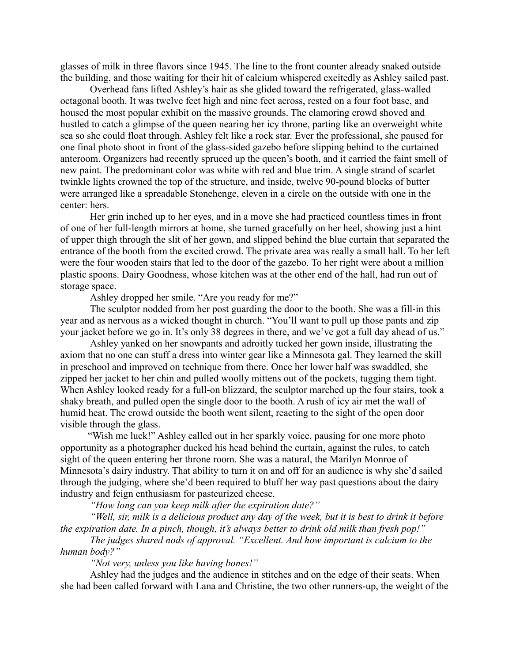glasses of milk in three flavors since 1945. The line to the front counter already snaked outside the building, and those waiting for their hit of calcium whispered excitedly as Ashley sailed past.

Overhead fans lifted Ashley's hair as she glided toward the refrigerated, glass-walled octagonal booth. It was twelve feet high and nine feet across, rested on a four foot base, and housed the most popular exhibit on the massive grounds. The clamoring crowd shoved and hustled to catch a glimpse of the queen nearing her icy throne, parting like an overweight white sea so she could float through. Ashley felt like a rock star. Ever the professional, she paused for one final photo shoot in front of the glass-sided gazebo before slipping behind to the curtained anteroom. Organizers had recently spruced up the queen's booth, and it carried the faint smell of new paint. The predominant color was white with red and blue trim. A single strand of scarlet twinkle lights crowned the top of the structure, and inside, twelve 90-pound blocks of butter were arranged like a spreadable Stonehenge, eleven in a circle on the outside with one in the center: hers.

 Her grin inched up to her eyes, and in a move she had practiced countless times in front of one of her full-length mirrors at home, she turned gracefully on her heel, showing just a hint of upper thigh through the slit of her gown, and slipped behind the blue curtain that separated the entrance of the booth from the excited crowd. The private area was really a small hall. To her left were the four wooden stairs that led to the door of the gazebo. To her right were about a million plastic spoons. Dairy Goodness, whose kitchen was at the other end of the hall, had run out of storage space.

Ashley dropped her smile. "Are you ready for me?"

The sculptor nodded from her post guarding the door to the booth. She was a fill-in this year and as nervous as a wicked thought in church. "You'll want to pull up those pants and zip your jacket before we go in. It's only 38 degrees in there, and we've got a full day ahead of us."

Ashley yanked on her snowpants and adroitly tucked her gown inside, illustrating the axiom that no one can stuff a dress into winter gear like a Minnesota gal. They learned the skill in preschool and improved on technique from there. Once her lower half was swaddled, she zipped her jacket to her chin and pulled woolly mittens out of the pockets, tugging them tight. When Ashley looked ready for a full-on blizzard, the sculptor marched up the four stairs, took a shaky breath, and pulled open the single door to the booth. A rush of icy air met the wall of humid heat. The crowd outside the booth went silent, reacting to the sight of the open door visible through the glass.

"Wish me luck!" Ashley called out in her sparkly voice, pausing for one more photo opportunity as a photographer ducked his head behind the curtain, against the rules, to catch sight of the queen entering her throne room. She was a natural, the Marilyn Monroe of Minnesota's dairy industry. That ability to turn it on and off for an audience is why she'd sailed through the judging, where she'd been required to bluff her way past questions about the dairy industry and feign enthusiasm for pasteurized cheese.

*"How long can you keep milk after the expiration date?"*

*"Well, sir, milk is a delicious product any day of the week, but it is best to drink it before the expiration date. In a pinch, though, it's always better to drink old milk than fresh pop!"* 

*The judges shared nods of approval. "Excellent. And how important is calcium to the human body?"*

*"Not very, unless you like having bones!"* 

Ashley had the judges and the audience in stitches and on the edge of their seats. When she had been called forward with Lana and Christine, the two other runners-up, the weight of the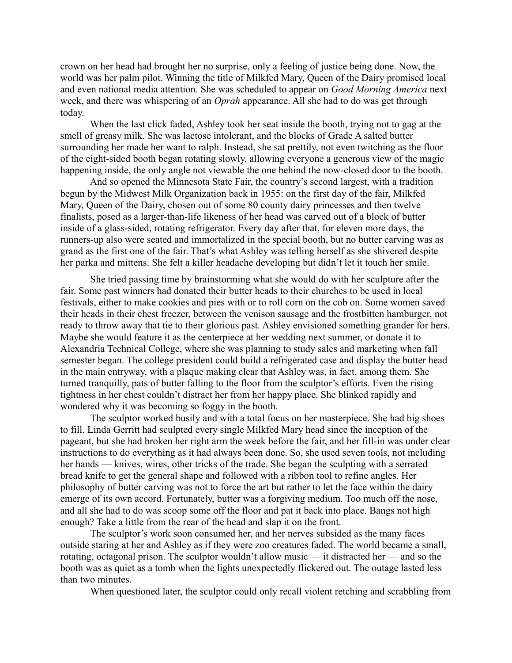crown on her head had brought her no surprise, only a feeling of justice being done. Now, the world was her palm pilot. Winning the title of Milkfed Mary, Queen of the Dairy promised local and even national media attention. She was scheduled to appear on *Good Morning America* next week, and there was whispering of an *Oprah* appearance. All she had to do was get through today.

When the last click faded, Ashley took her seat inside the booth, trying not to gag at the smell of greasy milk. She was lactose intolerant, and the blocks of Grade A salted butter surrounding her made her want to ralph. Instead, she sat prettily, not even twitching as the floor of the eight-sided booth began rotating slowly, allowing everyone a generous view of the magic happening inside, the only angle not viewable the one behind the now-closed door to the booth.

And so opened the Minnesota State Fair, the country's second largest, with a tradition begun by the Midwest Milk Organization back in 1955: on the first day of the fair, Milkfed Mary, Queen of the Dairy, chosen out of some 80 county dairy princesses and then twelve finalists, posed as a larger-than-life likeness of her head was carved out of a block of butter inside of a glass-sided, rotating refrigerator. Every day after that, for eleven more days, the runners-up also were seated and immortalized in the special booth, but no butter carving was as grand as the first one of the fair. That's what Ashley was telling herself as she shivered despite her parka and mittens. She felt a killer headache developing but didn't let it touch her smile.

She tried passing time by brainstorming what she would do with her sculpture after the fair. Some past winners had donated their butter heads to their churches to be used in local festivals, either to make cookies and pies with or to roll corn on the cob on. Some women saved their heads in their chest freezer, between the venison sausage and the frostbitten hamburger, not ready to throw away that tie to their glorious past. Ashley envisioned something grander for hers. Maybe she would feature it as the centerpiece at her wedding next summer, or donate it to Alexandria Technical College, where she was planning to study sales and marketing when fall semester began. The college president could build a refrigerated case and display the butter head in the main entryway, with a plaque making clear that Ashley was, in fact, among them. She turned tranquilly, pats of butter falling to the floor from the sculptor's efforts. Even the rising tightness in her chest couldn't distract her from her happy place. She blinked rapidly and wondered why it was becoming so foggy in the booth.

 The sculptor worked busily and with a total focus on her masterpiece. She had big shoes to fill. Linda Gerritt had sculpted every single Milkfed Mary head since the inception of the pageant, but she had broken her right arm the week before the fair, and her fill-in was under clear instructions to do everything as it had always been done. So, she used seven tools, not including her hands — knives, wires, other tricks of the trade. She began the sculpting with a serrated bread knife to get the general shape and followed with a ribbon tool to refine angles. Her philosophy of butter carving was not to force the art but rather to let the face within the dairy emerge of its own accord. Fortunately, butter was a forgiving medium. Too much off the nose, and all she had to do was scoop some off the floor and pat it back into place. Bangs not high enough? Take a little from the rear of the head and slap it on the front.

 The sculptor's work soon consumed her, and her nerves subsided as the many faces outside staring at her and Ashley as if they were zoo creatures faded. The world became a small, rotating, octagonal prison. The sculptor wouldn't allow music — it distracted her — and so the booth was as quiet as a tomb when the lights unexpectedly flickered out. The outage lasted less than two minutes.

When questioned later, the sculptor could only recall violent retching and scrabbling from